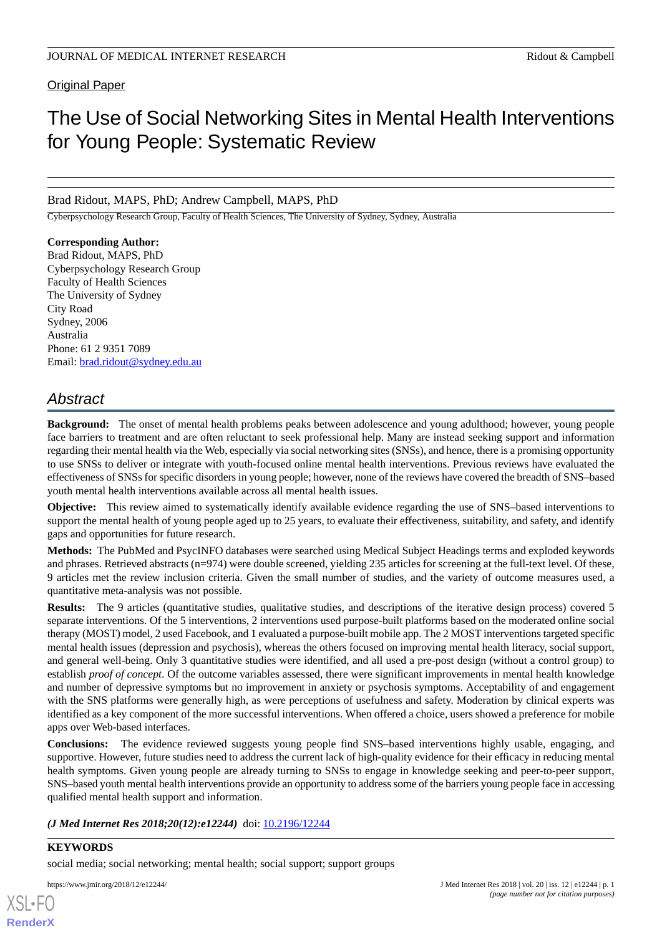Original Paper

# The Use of Social Networking Sites in Mental Health Interventions for Young People: Systematic Review

Brad Ridout, MAPS, PhD; Andrew Campbell, MAPS, PhD

Cyberpsychology Research Group, Faculty of Health Sciences, The University of Sydney, Sydney, Australia

**Corresponding Author:** Brad Ridout, MAPS, PhD Cyberpsychology Research Group Faculty of Health Sciences The University of Sydney City Road Sydney, 2006 Australia Phone: 61 2 9351 7089 Email: [brad.ridout@sydney.edu.au](mailto:brad.ridout@sydney.edu.au)

# *Abstract*

**Background:** The onset of mental health problems peaks between adolescence and young adulthood; however, young people face barriers to treatment and are often reluctant to seek professional help. Many are instead seeking support and information regarding their mental health via the Web, especially via social networking sites (SNSs), and hence, there is a promising opportunity to use SNSs to deliver or integrate with youth-focused online mental health interventions. Previous reviews have evaluated the effectiveness of SNSs for specific disorders in young people; however, none of the reviews have covered the breadth of SNS–based youth mental health interventions available across all mental health issues.

**Objective:** This review aimed to systematically identify available evidence regarding the use of SNS–based interventions to support the mental health of young people aged up to 25 years, to evaluate their effectiveness, suitability, and safety, and identify gaps and opportunities for future research.

**Methods:** The PubMed and PsycINFO databases were searched using Medical Subject Headings terms and exploded keywords and phrases. Retrieved abstracts (n=974) were double screened, yielding 235 articles for screening at the full-text level. Of these, 9 articles met the review inclusion criteria. Given the small number of studies, and the variety of outcome measures used, a quantitative meta-analysis was not possible.

**Results:** The 9 articles (quantitative studies, qualitative studies, and descriptions of the iterative design process) covered 5 separate interventions. Of the 5 interventions, 2 interventions used purpose-built platforms based on the moderated online social therapy (MOST) model, 2 used Facebook, and 1 evaluated a purpose-built mobile app. The 2 MOST interventions targeted specific mental health issues (depression and psychosis), whereas the others focused on improving mental health literacy, social support, and general well-being. Only 3 quantitative studies were identified, and all used a pre-post design (without a control group) to establish *proof of concept*. Of the outcome variables assessed, there were significant improvements in mental health knowledge and number of depressive symptoms but no improvement in anxiety or psychosis symptoms. Acceptability of and engagement with the SNS platforms were generally high, as were perceptions of usefulness and safety. Moderation by clinical experts was identified as a key component of the more successful interventions. When offered a choice, users showed a preference for mobile apps over Web-based interfaces.

**Conclusions:** The evidence reviewed suggests young people find SNS–based interventions highly usable, engaging, and supportive. However, future studies need to address the current lack of high-quality evidence for their efficacy in reducing mental health symptoms. Given young people are already turning to SNSs to engage in knowledge seeking and peer-to-peer support, SNS–based youth mental health interventions provide an opportunity to address some of the barriers young people face in accessing qualified mental health support and information.

(*J Med Internet Res 2018;20(12):e12244*) doi: **[10.2196/12244](http://dx.doi.org/10.2196/12244)** 

#### **KEYWORDS**

[XSL](http://www.w3.org/Style/XSL)•FO **[RenderX](http://www.renderx.com/)**

social media; social networking; mental health; social support; support groups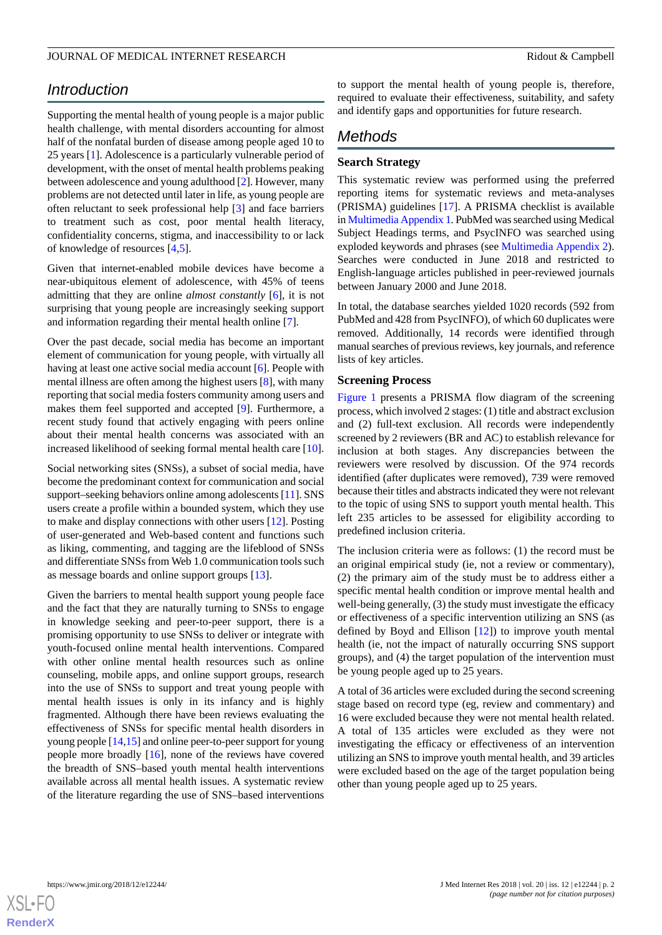# *Introduction*

Supporting the mental health of young people is a major public health challenge, with mental disorders accounting for almost half of the nonfatal burden of disease among people aged 10 to 25 years [\[1](#page-8-0)]. Adolescence is a particularly vulnerable period of development, with the onset of mental health problems peaking between adolescence and young adulthood [[2\]](#page-8-1). However, many problems are not detected until later in life, as young people are often reluctant to seek professional help [\[3](#page-8-2)] and face barriers to treatment such as cost, poor mental health literacy, confidentiality concerns, stigma, and inaccessibility to or lack of knowledge of resources [[4](#page-8-3)[,5](#page-8-4)].

Given that internet-enabled mobile devices have become a near-ubiquitous element of adolescence, with 45% of teens admitting that they are online *almost constantly* [\[6](#page-8-5)], it is not surprising that young people are increasingly seeking support and information regarding their mental health online [\[7](#page-8-6)].

Over the past decade, social media has become an important element of communication for young people, with virtually all having at least one active social media account [[6\]](#page-8-5). People with mental illness are often among the highest users [[8\]](#page-8-7), with many reporting that social media fosters community among users and makes them feel supported and accepted [[9\]](#page-8-8). Furthermore, a recent study found that actively engaging with peers online about their mental health concerns was associated with an increased likelihood of seeking formal mental health care [[10\]](#page-8-9).

Social networking sites (SNSs), a subset of social media, have become the predominant context for communication and social support–seeking behaviors online among adolescents [[11\]](#page-8-10). SNS users create a profile within a bounded system, which they use to make and display connections with other users [[12\]](#page-8-11). Posting of user-generated and Web-based content and functions such as liking, commenting, and tagging are the lifeblood of SNSs and differentiate SNSs from Web 1.0 communication tools such as message boards and online support groups [[13\]](#page-8-12).

Given the barriers to mental health support young people face and the fact that they are naturally turning to SNSs to engage in knowledge seeking and peer-to-peer support, there is a promising opportunity to use SNSs to deliver or integrate with youth-focused online mental health interventions. Compared with other online mental health resources such as online counseling, mobile apps, and online support groups, research into the use of SNSs to support and treat young people with mental health issues is only in its infancy and is highly fragmented. Although there have been reviews evaluating the effectiveness of SNSs for specific mental health disorders in young people [[14](#page-8-13)[,15](#page-8-14)] and online peer-to-peer support for young people more broadly [\[16](#page-8-15)], none of the reviews have covered the breadth of SNS–based youth mental health interventions available across all mental health issues. A systematic review of the literature regarding the use of SNS–based interventions

to support the mental health of young people is, therefore, required to evaluate their effectiveness, suitability, and safety and identify gaps and opportunities for future research.

# *Methods*

### **Search Strategy**

This systematic review was performed using the preferred reporting items for systematic reviews and meta-analyses (PRISMA) guidelines [\[17](#page-8-16)]. A PRISMA checklist is available in [Multimedia Appendix 1.](#page-7-0) PubMed was searched using Medical Subject Headings terms, and PsycINFO was searched using exploded keywords and phrases (see [Multimedia Appendix 2\)](#page-7-1). Searches were conducted in June 2018 and restricted to English-language articles published in peer-reviewed journals between January 2000 and June 2018.

In total, the database searches yielded 1020 records (592 from PubMed and 428 from PsycINFO), of which 60 duplicates were removed. Additionally, 14 records were identified through manual searches of previous reviews, key journals, and reference lists of key articles.

#### **Screening Process**

[Figure 1](#page-2-0) presents a PRISMA flow diagram of the screening process, which involved 2 stages: (1) title and abstract exclusion and (2) full-text exclusion. All records were independently screened by 2 reviewers (BR and AC) to establish relevance for inclusion at both stages. Any discrepancies between the reviewers were resolved by discussion. Of the 974 records identified (after duplicates were removed), 739 were removed because their titles and abstracts indicated they were not relevant to the topic of using SNS to support youth mental health. This left 235 articles to be assessed for eligibility according to predefined inclusion criteria.

The inclusion criteria were as follows: (1) the record must be an original empirical study (ie, not a review or commentary), (2) the primary aim of the study must be to address either a specific mental health condition or improve mental health and well-being generally, (3) the study must investigate the efficacy or effectiveness of a specific intervention utilizing an SNS (as defined by Boyd and Ellison  $[12]$  $[12]$  to improve youth mental health (ie, not the impact of naturally occurring SNS support groups), and (4) the target population of the intervention must be young people aged up to 25 years.

A total of 36 articles were excluded during the second screening stage based on record type (eg, review and commentary) and 16 were excluded because they were not mental health related. A total of 135 articles were excluded as they were not investigating the efficacy or effectiveness of an intervention utilizing an SNS to improve youth mental health, and 39 articles were excluded based on the age of the target population being other than young people aged up to 25 years.

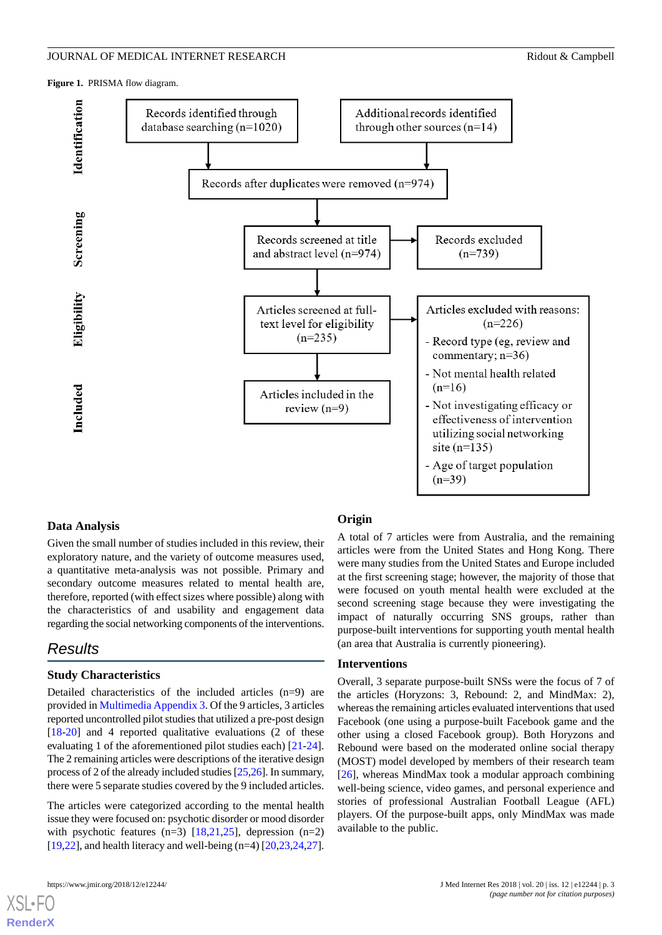<span id="page-2-0"></span>Figure 1. PRISMA flow diagram.



#### **Data Analysis**

Given the small number of studies included in this review, their exploratory nature, and the variety of outcome measures used, a quantitative meta-analysis was not possible. Primary and secondary outcome measures related to mental health are, therefore, reported (with effect sizes where possible) along with the characteristics of and usability and engagement data regarding the social networking components of the interventions.

# *Results*

#### **Study Characteristics**

Detailed characteristics of the included articles (n=9) are provided in [Multimedia Appendix 3](#page-7-2). Of the 9 articles, 3 articles reported uncontrolled pilot studies that utilized a pre-post design [[18](#page-8-17)[-20](#page-8-18)] and 4 reported qualitative evaluations (2 of these evaluating 1 of the aforementioned pilot studies each) [\[21](#page-8-19)-[24\]](#page-9-0). The 2 remaining articles were descriptions of the iterative design process of 2 of the already included studies [[25](#page-9-1),[26\]](#page-9-2). In summary, there were 5 separate studies covered by the 9 included articles.

The articles were categorized according to the mental health issue they were focused on: psychotic disorder or mood disorder with psychotic features  $(n=3)$  [[18](#page-8-17)[,21](#page-8-19),[25\]](#page-9-1), depression  $(n=2)$ [[19](#page-8-20)[,22](#page-8-21)], and health literacy and well-being (n=4) [[20,](#page-8-18)[23,](#page-9-3)[24](#page-9-0),[27\]](#page-9-4).

# **Origin**

A total of 7 articles were from Australia, and the remaining articles were from the United States and Hong Kong. There were many studies from the United States and Europe included at the first screening stage; however, the majority of those that were focused on youth mental health were excluded at the second screening stage because they were investigating the impact of naturally occurring SNS groups, rather than purpose-built interventions for supporting youth mental health (an area that Australia is currently pioneering).

#### **Interventions**

Overall, 3 separate purpose-built SNSs were the focus of 7 of the articles (Horyzons: 3, Rebound: 2, and MindMax: 2), whereas the remaining articles evaluated interventions that used Facebook (one using a purpose-built Facebook game and the other using a closed Facebook group). Both Horyzons and Rebound were based on the moderated online social therapy (MOST) model developed by members of their research team [[26\]](#page-9-2), whereas MindMax took a modular approach combining well-being science, video games, and personal experience and stories of professional Australian Football League (AFL) players. Of the purpose-built apps, only MindMax was made available to the public.

[XSL](http://www.w3.org/Style/XSL)•FO **[RenderX](http://www.renderx.com/)**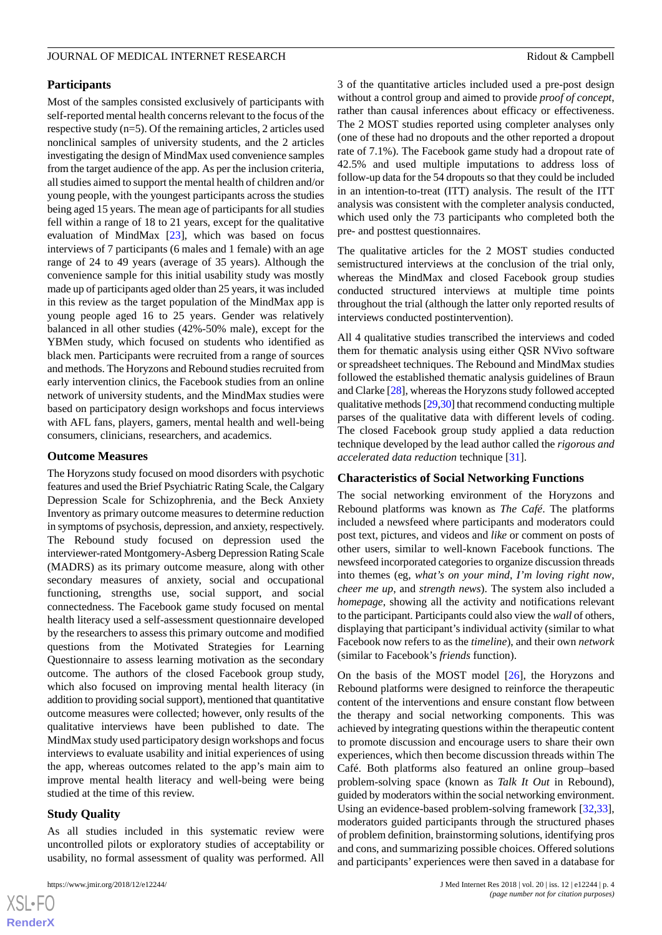#### **Participants**

Most of the samples consisted exclusively of participants with self-reported mental health concerns relevant to the focus of the respective study (n=5). Of the remaining articles, 2 articles used nonclinical samples of university students, and the 2 articles investigating the design of MindMax used convenience samples from the target audience of the app. As per the inclusion criteria, all studies aimed to support the mental health of children and/or young people, with the youngest participants across the studies being aged 15 years. The mean age of participants for all studies fell within a range of 18 to 21 years, except for the qualitative evaluation of MindMax [[23\]](#page-9-3), which was based on focus interviews of 7 participants (6 males and 1 female) with an age range of 24 to 49 years (average of 35 years). Although the convenience sample for this initial usability study was mostly made up of participants aged older than 25 years, it was included in this review as the target population of the MindMax app is young people aged 16 to 25 years. Gender was relatively balanced in all other studies (42%-50% male), except for the YBMen study, which focused on students who identified as black men. Participants were recruited from a range of sources and methods. The Horyzons and Rebound studies recruited from early intervention clinics, the Facebook studies from an online network of university students, and the MindMax studies were based on participatory design workshops and focus interviews with AFL fans, players, gamers, mental health and well-being consumers, clinicians, researchers, and academics.

#### **Outcome Measures**

The Horyzons study focused on mood disorders with psychotic features and used the Brief Psychiatric Rating Scale, the Calgary Depression Scale for Schizophrenia, and the Beck Anxiety Inventory as primary outcome measures to determine reduction in symptoms of psychosis, depression, and anxiety, respectively. The Rebound study focused on depression used the interviewer-rated Montgomery-Asberg Depression Rating Scale (MADRS) as its primary outcome measure, along with other secondary measures of anxiety, social and occupational functioning, strengths use, social support, and social connectedness. The Facebook game study focused on mental health literacy used a self-assessment questionnaire developed by the researchers to assess this primary outcome and modified questions from the Motivated Strategies for Learning Questionnaire to assess learning motivation as the secondary outcome. The authors of the closed Facebook group study, which also focused on improving mental health literacy (in addition to providing social support), mentioned that quantitative outcome measures were collected; however, only results of the qualitative interviews have been published to date. The MindMax study used participatory design workshops and focus interviews to evaluate usability and initial experiences of using the app, whereas outcomes related to the app's main aim to improve mental health literacy and well-being were being studied at the time of this review.

#### **Study Quality**

As all studies included in this systematic review were uncontrolled pilots or exploratory studies of acceptability or usability, no formal assessment of quality was performed. All

3 of the quantitative articles included used a pre-post design without a control group and aimed to provide *proof of concept*, rather than causal inferences about efficacy or effectiveness. The 2 MOST studies reported using completer analyses only (one of these had no dropouts and the other reported a dropout rate of 7.1%). The Facebook game study had a dropout rate of 42.5% and used multiple imputations to address loss of follow-up data for the 54 dropouts so that they could be included in an intention-to-treat (ITT) analysis. The result of the ITT analysis was consistent with the completer analysis conducted, which used only the 73 participants who completed both the pre- and posttest questionnaires.

The qualitative articles for the 2 MOST studies conducted semistructured interviews at the conclusion of the trial only, whereas the MindMax and closed Facebook group studies conducted structured interviews at multiple time points throughout the trial (although the latter only reported results of interviews conducted postintervention).

All 4 qualitative studies transcribed the interviews and coded them for thematic analysis using either QSR NVivo software or spreadsheet techniques. The Rebound and MindMax studies followed the established thematic analysis guidelines of Braun and Clarke [\[28](#page-9-5)], whereas the Horyzons study followed accepted qualitative methods [\[29](#page-9-6)[,30\]](#page-9-7) that recommend conducting multiple parses of the qualitative data with different levels of coding. The closed Facebook group study applied a data reduction technique developed by the lead author called the *rigorous and accelerated data reduction* technique [\[31](#page-9-8)].

#### **Characteristics of Social Networking Functions**

The social networking environment of the Horyzons and Rebound platforms was known as *The Café*. The platforms included a newsfeed where participants and moderators could post text, pictures, and videos and *like* or comment on posts of other users, similar to well-known Facebook functions. The newsfeed incorporated categories to organize discussion threads into themes (eg, *what's on your mind*, *I'm loving right now*, *cheer me up*, and *strength news*). The system also included a *homepage*, showing all the activity and notifications relevant to the participant. Participants could also view the *wall* of others, displaying that participant's individual activity (similar to what Facebook now refers to as the *timeline*), and their own *network* (similar to Facebook's *friends* function).

On the basis of the MOST model [\[26](#page-9-2)], the Horyzons and Rebound platforms were designed to reinforce the therapeutic content of the interventions and ensure constant flow between the therapy and social networking components. This was achieved by integrating questions within the therapeutic content to promote discussion and encourage users to share their own experiences, which then become discussion threads within The Café. Both platforms also featured an online group–based problem-solving space (known as *Talk It Out* in Rebound), guided by moderators within the social networking environment. Using an evidence-based problem-solving framework [\[32](#page-9-9),[33\]](#page-9-10), moderators guided participants through the structured phases of problem definition, brainstorming solutions, identifying pros and cons, and summarizing possible choices. Offered solutions and participants' experiences were then saved in a database for

```
XS-FO
RenderX
```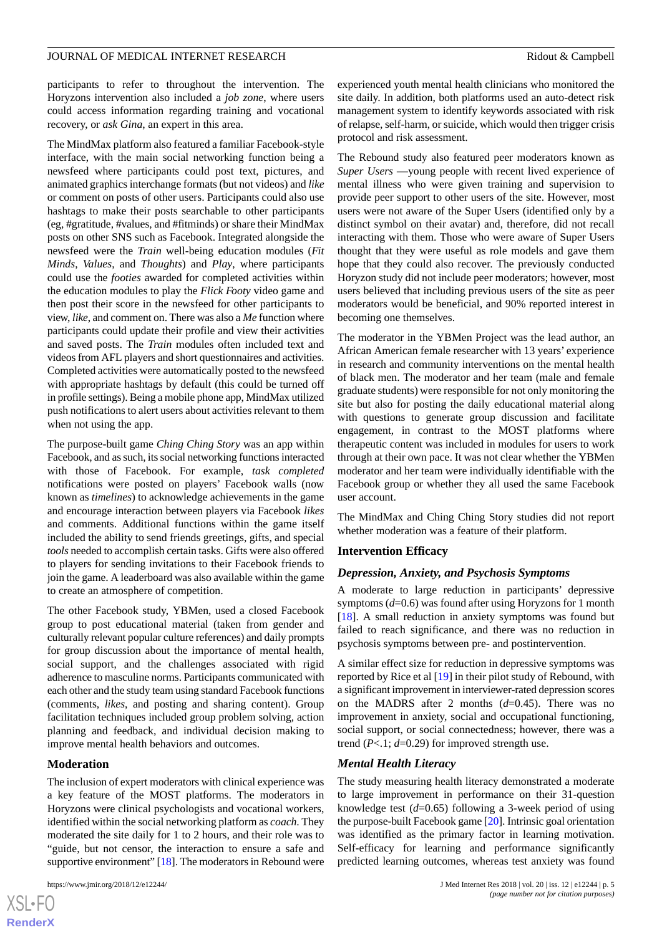participants to refer to throughout the intervention. The Horyzons intervention also included a *job zone*, where users could access information regarding training and vocational recovery, or *ask Gina*, an expert in this area.

The MindMax platform also featured a familiar Facebook-style interface, with the main social networking function being a newsfeed where participants could post text, pictures, and animated graphics interchange formats (but not videos) and *like* or comment on posts of other users. Participants could also use hashtags to make their posts searchable to other participants (eg, #gratitude, #values, and #fitminds) or share their MindMax posts on other SNS such as Facebook. Integrated alongside the newsfeed were the *Train* well-being education modules (*Fit Minds*, *Values*, and *Thoughts*) and *Play*, where participants could use the *footies* awarded for completed activities within the education modules to play the *Flick Footy* video game and then post their score in the newsfeed for other participants to view, *like*, and comment on. There was also a *Me* function where participants could update their profile and view their activities and saved posts. The *Train* modules often included text and videos from AFL players and short questionnaires and activities. Completed activities were automatically posted to the newsfeed with appropriate hashtags by default (this could be turned off in profile settings). Being a mobile phone app, MindMax utilized push notifications to alert users about activities relevant to them when not using the app.

The purpose-built game *Ching Ching Story* was an app within Facebook, and as such, its social networking functions interacted with those of Facebook. For example, *task completed* notifications were posted on players' Facebook walls (now known as *timelines*) to acknowledge achievements in the game and encourage interaction between players via Facebook *likes* and comments. Additional functions within the game itself included the ability to send friends greetings, gifts, and special *tools* needed to accomplish certain tasks. Gifts were also offered to players for sending invitations to their Facebook friends to join the game. A leaderboard was also available within the game to create an atmosphere of competition.

The other Facebook study, YBMen, used a closed Facebook group to post educational material (taken from gender and culturally relevant popular culture references) and daily prompts for group discussion about the importance of mental health, social support, and the challenges associated with rigid adherence to masculine norms. Participants communicated with each other and the study team using standard Facebook functions (comments, *likes*, and posting and sharing content). Group facilitation techniques included group problem solving, action planning and feedback, and individual decision making to improve mental health behaviors and outcomes.

#### **Moderation**

The inclusion of expert moderators with clinical experience was a key feature of the MOST platforms. The moderators in Horyzons were clinical psychologists and vocational workers, identified within the social networking platform as *coach*. They moderated the site daily for 1 to 2 hours, and their role was to "guide, but not censor, the interaction to ensure a safe and supportive environment" [\[18](#page-8-17)]. The moderators in Rebound were

experienced youth mental health clinicians who monitored the site daily. In addition, both platforms used an auto-detect risk management system to identify keywords associated with risk of relapse, self-harm, or suicide, which would then trigger crisis protocol and risk assessment.

The Rebound study also featured peer moderators known as *Super Users* —young people with recent lived experience of mental illness who were given training and supervision to provide peer support to other users of the site. However, most users were not aware of the Super Users (identified only by a distinct symbol on their avatar) and, therefore, did not recall interacting with them. Those who were aware of Super Users thought that they were useful as role models and gave them hope that they could also recover. The previously conducted Horyzon study did not include peer moderators; however, most users believed that including previous users of the site as peer moderators would be beneficial, and 90% reported interest in becoming one themselves.

The moderator in the YBMen Project was the lead author, an African American female researcher with 13 years' experience in research and community interventions on the mental health of black men. The moderator and her team (male and female graduate students) were responsible for not only monitoring the site but also for posting the daily educational material along with questions to generate group discussion and facilitate engagement, in contrast to the MOST platforms where therapeutic content was included in modules for users to work through at their own pace. It was not clear whether the YBMen moderator and her team were individually identifiable with the Facebook group or whether they all used the same Facebook user account.

The MindMax and Ching Ching Story studies did not report whether moderation was a feature of their platform.

#### **Intervention Efficacy**

#### *Depression, Anxiety, and Psychosis Symptoms*

A moderate to large reduction in participants' depressive symptoms (*d*=0.6) was found after using Horyzons for 1 month [[18\]](#page-8-17). A small reduction in anxiety symptoms was found but failed to reach significance, and there was no reduction in psychosis symptoms between pre- and postintervention.

A similar effect size for reduction in depressive symptoms was reported by Rice et al [[19\]](#page-8-20) in their pilot study of Rebound, with a significant improvement in interviewer-rated depression scores on the MADRS after 2 months (*d*=0.45). There was no improvement in anxiety, social and occupational functioning, social support, or social connectedness; however, there was a trend  $(P<.1; d=0.29)$  for improved strength use.

#### *Mental Health Literacy*

The study measuring health literacy demonstrated a moderate to large improvement in performance on their 31-question knowledge test (*d*=0.65) following a 3-week period of using the purpose-built Facebook game [[20\]](#page-8-18). Intrinsic goal orientation was identified as the primary factor in learning motivation. Self-efficacy for learning and performance significantly predicted learning outcomes, whereas test anxiety was found

 $XS$ -FO **[RenderX](http://www.renderx.com/)**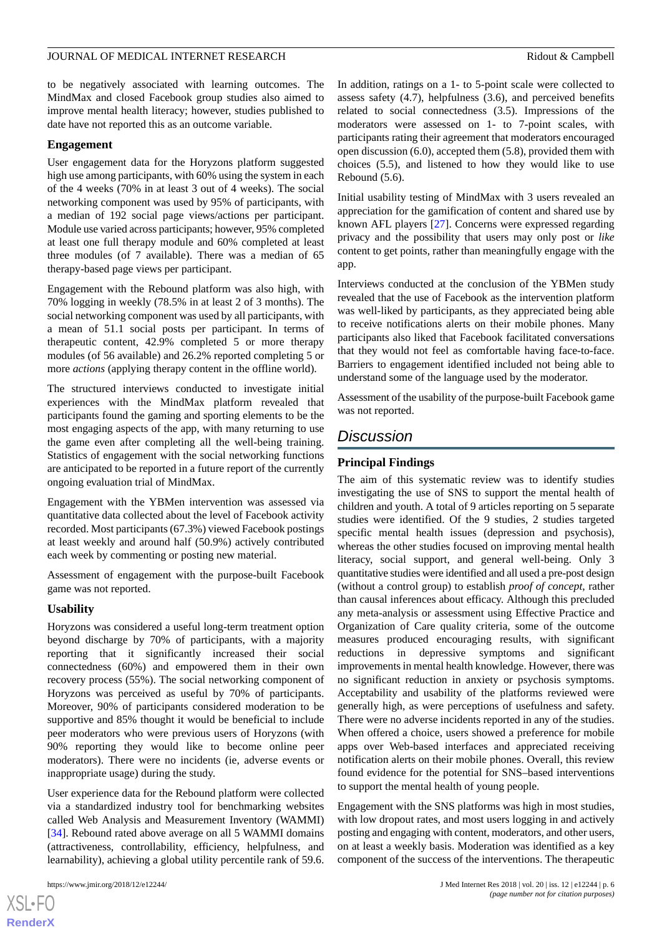to be negatively associated with learning outcomes. The MindMax and closed Facebook group studies also aimed to improve mental health literacy; however, studies published to date have not reported this as an outcome variable.

#### **Engagement**

User engagement data for the Horyzons platform suggested high use among participants, with 60% using the system in each of the 4 weeks (70% in at least 3 out of 4 weeks). The social networking component was used by 95% of participants, with a median of 192 social page views/actions per participant. Module use varied across participants; however, 95% completed at least one full therapy module and 60% completed at least three modules (of 7 available). There was a median of 65 therapy-based page views per participant.

Engagement with the Rebound platform was also high, with 70% logging in weekly (78.5% in at least 2 of 3 months). The social networking component was used by all participants, with a mean of 51.1 social posts per participant. In terms of therapeutic content, 42.9% completed 5 or more therapy modules (of 56 available) and 26.2% reported completing 5 or more *actions* (applying therapy content in the offline world).

The structured interviews conducted to investigate initial experiences with the MindMax platform revealed that participants found the gaming and sporting elements to be the most engaging aspects of the app, with many returning to use the game even after completing all the well-being training. Statistics of engagement with the social networking functions are anticipated to be reported in a future report of the currently ongoing evaluation trial of MindMax.

Engagement with the YBMen intervention was assessed via quantitative data collected about the level of Facebook activity recorded. Most participants (67.3%) viewed Facebook postings at least weekly and around half (50.9%) actively contributed each week by commenting or posting new material.

Assessment of engagement with the purpose-built Facebook game was not reported.

#### **Usability**

Horyzons was considered a useful long-term treatment option beyond discharge by 70% of participants, with a majority reporting that it significantly increased their social connectedness (60%) and empowered them in their own recovery process (55%). The social networking component of Horyzons was perceived as useful by 70% of participants. Moreover, 90% of participants considered moderation to be supportive and 85% thought it would be beneficial to include peer moderators who were previous users of Horyzons (with 90% reporting they would like to become online peer moderators). There were no incidents (ie, adverse events or inappropriate usage) during the study.

User experience data for the Rebound platform were collected via a standardized industry tool for benchmarking websites called Web Analysis and Measurement Inventory (WAMMI) [[34\]](#page-9-11). Rebound rated above average on all 5 WAMMI domains (attractiveness, controllability, efficiency, helpfulness, and learnability), achieving a global utility percentile rank of 59.6.

In addition, ratings on a 1- to 5-point scale were collected to assess safety (4.7), helpfulness (3.6), and perceived benefits related to social connectedness (3.5). Impressions of the moderators were assessed on 1- to 7-point scales, with participants rating their agreement that moderators encouraged open discussion (6.0), accepted them (5.8), provided them with choices (5.5), and listened to how they would like to use Rebound (5.6).

Initial usability testing of MindMax with 3 users revealed an appreciation for the gamification of content and shared use by known AFL players [\[27](#page-9-4)]. Concerns were expressed regarding privacy and the possibility that users may only post or *like* content to get points, rather than meaningfully engage with the app.

Interviews conducted at the conclusion of the YBMen study revealed that the use of Facebook as the intervention platform was well-liked by participants, as they appreciated being able to receive notifications alerts on their mobile phones. Many participants also liked that Facebook facilitated conversations that they would not feel as comfortable having face-to-face. Barriers to engagement identified included not being able to understand some of the language used by the moderator.

Assessment of the usability of the purpose-built Facebook game was not reported.

# *Discussion*

### **Principal Findings**

The aim of this systematic review was to identify studies investigating the use of SNS to support the mental health of children and youth. A total of 9 articles reporting on 5 separate studies were identified. Of the 9 studies, 2 studies targeted specific mental health issues (depression and psychosis), whereas the other studies focused on improving mental health literacy, social support, and general well-being. Only 3 quantitative studies were identified and all used a pre-post design (without a control group) to establish *proof of concept*, rather than causal inferences about efficacy. Although this precluded any meta-analysis or assessment using Effective Practice and Organization of Care quality criteria, some of the outcome measures produced encouraging results, with significant reductions in depressive symptoms and significant improvements in mental health knowledge. However, there was no significant reduction in anxiety or psychosis symptoms. Acceptability and usability of the platforms reviewed were generally high, as were perceptions of usefulness and safety. There were no adverse incidents reported in any of the studies. When offered a choice, users showed a preference for mobile apps over Web-based interfaces and appreciated receiving notification alerts on their mobile phones. Overall, this review found evidence for the potential for SNS–based interventions to support the mental health of young people.

Engagement with the SNS platforms was high in most studies, with low dropout rates, and most users logging in and actively posting and engaging with content, moderators, and other users, on at least a weekly basis. Moderation was identified as a key component of the success of the interventions. The therapeutic

 $XS$ -FO **[RenderX](http://www.renderx.com/)**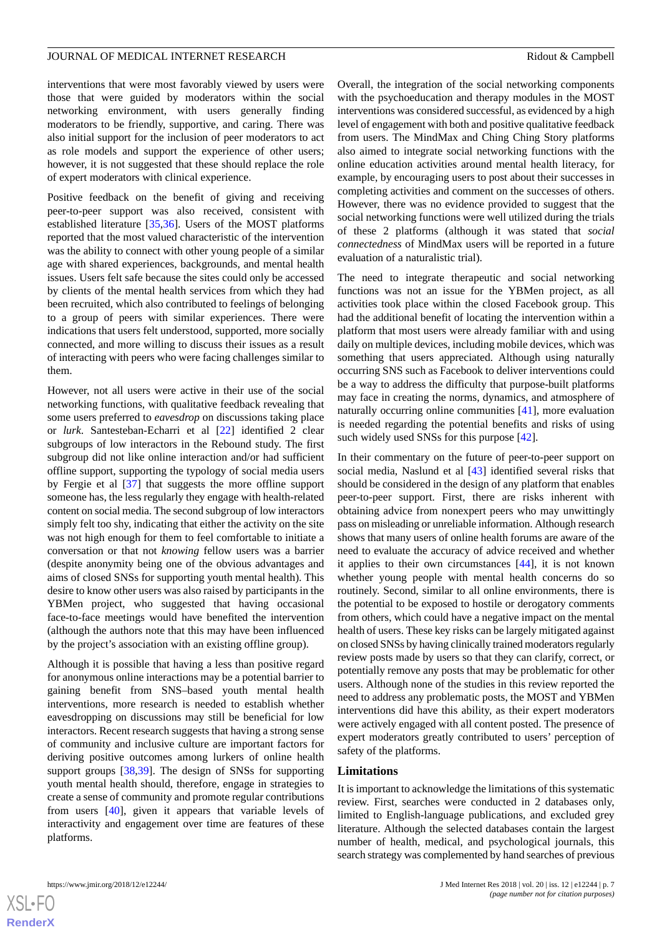interventions that were most favorably viewed by users were those that were guided by moderators within the social networking environment, with users generally finding moderators to be friendly, supportive, and caring. There was also initial support for the inclusion of peer moderators to act as role models and support the experience of other users; however, it is not suggested that these should replace the role of expert moderators with clinical experience.

Positive feedback on the benefit of giving and receiving peer-to-peer support was also received, consistent with established literature [\[35](#page-9-12),[36\]](#page-9-13). Users of the MOST platforms reported that the most valued characteristic of the intervention was the ability to connect with other young people of a similar age with shared experiences, backgrounds, and mental health issues. Users felt safe because the sites could only be accessed by clients of the mental health services from which they had been recruited, which also contributed to feelings of belonging to a group of peers with similar experiences. There were indications that users felt understood, supported, more socially connected, and more willing to discuss their issues as a result of interacting with peers who were facing challenges similar to them.

However, not all users were active in their use of the social networking functions, with qualitative feedback revealing that some users preferred to *eavesdrop* on discussions taking place or *lurk*. Santesteban-Echarri et al [[22\]](#page-8-21) identified 2 clear subgroups of low interactors in the Rebound study. The first subgroup did not like online interaction and/or had sufficient offline support, supporting the typology of social media users by Fergie et al [[37\]](#page-9-14) that suggests the more offline support someone has, the less regularly they engage with health-related content on social media. The second subgroup of low interactors simply felt too shy, indicating that either the activity on the site was not high enough for them to feel comfortable to initiate a conversation or that not *knowing* fellow users was a barrier (despite anonymity being one of the obvious advantages and aims of closed SNSs for supporting youth mental health). This desire to know other users was also raised by participants in the YBMen project, who suggested that having occasional face-to-face meetings would have benefited the intervention (although the authors note that this may have been influenced by the project's association with an existing offline group).

Although it is possible that having a less than positive regard for anonymous online interactions may be a potential barrier to gaining benefit from SNS–based youth mental health interventions, more research is needed to establish whether eavesdropping on discussions may still be beneficial for low interactors. Recent research suggests that having a strong sense of community and inclusive culture are important factors for deriving positive outcomes among lurkers of online health support groups [[38,](#page-9-15)[39\]](#page-9-16). The design of SNSs for supporting youth mental health should, therefore, engage in strategies to create a sense of community and promote regular contributions from users [[40\]](#page-9-17), given it appears that variable levels of interactivity and engagement over time are features of these platforms.

Overall, the integration of the social networking components with the psychoeducation and therapy modules in the MOST interventions was considered successful, as evidenced by a high level of engagement with both and positive qualitative feedback from users. The MindMax and Ching Ching Story platforms also aimed to integrate social networking functions with the online education activities around mental health literacy, for example, by encouraging users to post about their successes in completing activities and comment on the successes of others. However, there was no evidence provided to suggest that the social networking functions were well utilized during the trials of these 2 platforms (although it was stated that *social connectedness* of MindMax users will be reported in a future evaluation of a naturalistic trial).

The need to integrate therapeutic and social networking functions was not an issue for the YBMen project, as all activities took place within the closed Facebook group. This had the additional benefit of locating the intervention within a platform that most users were already familiar with and using daily on multiple devices, including mobile devices, which was something that users appreciated. Although using naturally occurring SNS such as Facebook to deliver interventions could be a way to address the difficulty that purpose-built platforms may face in creating the norms, dynamics, and atmosphere of naturally occurring online communities [\[41](#page-9-18)], more evaluation is needed regarding the potential benefits and risks of using such widely used SNSs for this purpose [\[42](#page-9-19)].

In their commentary on the future of peer-to-peer support on social media, Naslund et al [\[43](#page-9-20)] identified several risks that should be considered in the design of any platform that enables peer-to-peer support. First, there are risks inherent with obtaining advice from nonexpert peers who may unwittingly pass on misleading or unreliable information. Although research shows that many users of online health forums are aware of the need to evaluate the accuracy of advice received and whether it applies to their own circumstances [\[44](#page-9-21)], it is not known whether young people with mental health concerns do so routinely. Second, similar to all online environments, there is the potential to be exposed to hostile or derogatory comments from others, which could have a negative impact on the mental health of users. These key risks can be largely mitigated against on closed SNSs by having clinically trained moderators regularly review posts made by users so that they can clarify, correct, or potentially remove any posts that may be problematic for other users. Although none of the studies in this review reported the need to address any problematic posts, the MOST and YBMen interventions did have this ability, as their expert moderators were actively engaged with all content posted. The presence of expert moderators greatly contributed to users' perception of safety of the platforms.

#### **Limitations**

It is important to acknowledge the limitations of this systematic review. First, searches were conducted in 2 databases only, limited to English-language publications, and excluded grey literature. Although the selected databases contain the largest number of health, medical, and psychological journals, this search strategy was complemented by hand searches of previous

 $XS$ -FO **[RenderX](http://www.renderx.com/)**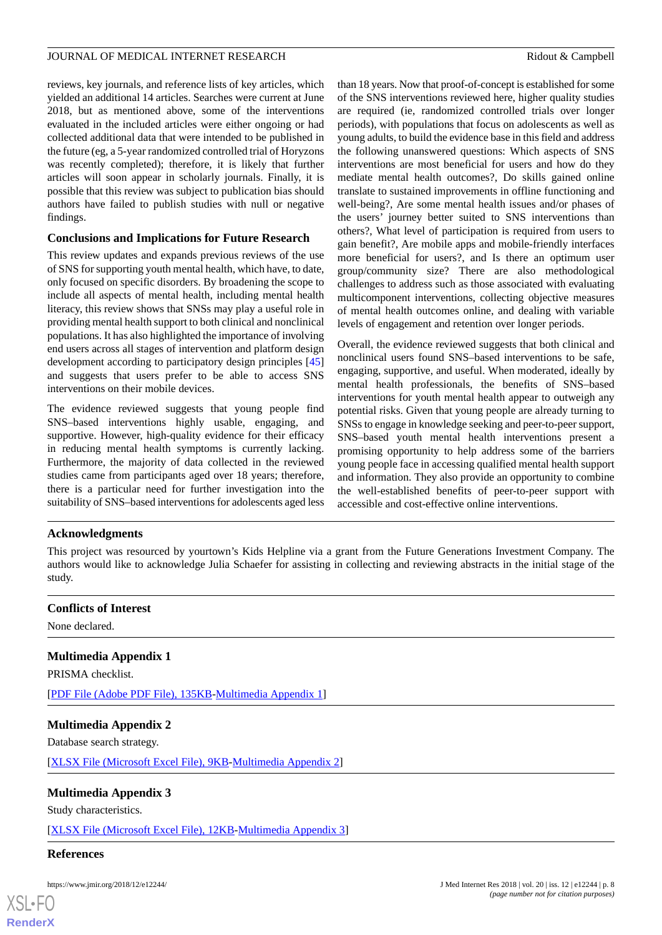reviews, key journals, and reference lists of key articles, which yielded an additional 14 articles. Searches were current at June 2018, but as mentioned above, some of the interventions evaluated in the included articles were either ongoing or had collected additional data that were intended to be published in the future (eg, a 5-year randomized controlled trial of Horyzons was recently completed); therefore, it is likely that further articles will soon appear in scholarly journals. Finally, it is possible that this review was subject to publication bias should authors have failed to publish studies with null or negative findings.

#### **Conclusions and Implications for Future Research**

This review updates and expands previous reviews of the use of SNS for supporting youth mental health, which have, to date, only focused on specific disorders. By broadening the scope to include all aspects of mental health, including mental health literacy, this review shows that SNSs may play a useful role in providing mental health support to both clinical and nonclinical populations. It has also highlighted the importance of involving end users across all stages of intervention and platform design development according to participatory design principles [\[45](#page-9-22)] and suggests that users prefer to be able to access SNS interventions on their mobile devices.

The evidence reviewed suggests that young people find SNS–based interventions highly usable, engaging, and supportive. However, high-quality evidence for their efficacy in reducing mental health symptoms is currently lacking. Furthermore, the majority of data collected in the reviewed studies came from participants aged over 18 years; therefore, there is a particular need for further investigation into the suitability of SNS–based interventions for adolescents aged less

than 18 years. Now that proof-of-concept is established for some of the SNS interventions reviewed here, higher quality studies are required (ie, randomized controlled trials over longer periods), with populations that focus on adolescents as well as young adults, to build the evidence base in this field and address the following unanswered questions: Which aspects of SNS interventions are most beneficial for users and how do they mediate mental health outcomes?, Do skills gained online translate to sustained improvements in offline functioning and well-being?, Are some mental health issues and/or phases of the users' journey better suited to SNS interventions than others?, What level of participation is required from users to gain benefit?, Are mobile apps and mobile-friendly interfaces more beneficial for users?, and Is there an optimum user group/community size? There are also methodological challenges to address such as those associated with evaluating multicomponent interventions, collecting objective measures of mental health outcomes online, and dealing with variable levels of engagement and retention over longer periods.

Overall, the evidence reviewed suggests that both clinical and nonclinical users found SNS–based interventions to be safe, engaging, supportive, and useful. When moderated, ideally by mental health professionals, the benefits of SNS–based interventions for youth mental health appear to outweigh any potential risks. Given that young people are already turning to SNSs to engage in knowledge seeking and peer-to-peer support, SNS–based youth mental health interventions present a promising opportunity to help address some of the barriers young people face in accessing qualified mental health support and information. They also provide an opportunity to combine the well-established benefits of peer-to-peer support with accessible and cost-effective online interventions.

#### **Acknowledgments**

This project was resourced by yourtown's Kids Helpline via a grant from the Future Generations Investment Company. The authors would like to acknowledge Julia Schaefer for assisting in collecting and reviewing abstracts in the initial stage of the study.

#### <span id="page-7-0"></span>**Conflicts of Interest**

None declared.

# <span id="page-7-1"></span>**Multimedia Appendix 1**

PRISMA checklist.

[[PDF File \(Adobe PDF File\), 135KB-Multimedia Appendix 1](https://jmir.org/api/download?alt_name=jmir_v20i12e12244_app1.pdf&filename=bf626be73106859b23489b8aea54fceb.pdf)]

# <span id="page-7-2"></span>**Multimedia Appendix 2**

Database search strategy.

[[XLSX File \(Microsoft Excel File\), 9KB-Multimedia Appendix 2](https://jmir.org/api/download?alt_name=jmir_v20i12e12244_app2.xlsx&filename=6c7ebe6232caa2ae61bf628c1b16abae.xlsx)]

# **Multimedia Appendix 3**

Study characteristics.

[[XLSX File \(Microsoft Excel File\), 12KB-Multimedia Appendix 3](https://jmir.org/api/download?alt_name=jmir_v20i12e12244_app3.xlsx&filename=fe922cbd2d0df14fb4dc81b4ea824c6f.xlsx)]

# **References**

 $X$ SL•F $O$ **[RenderX](http://www.renderx.com/)**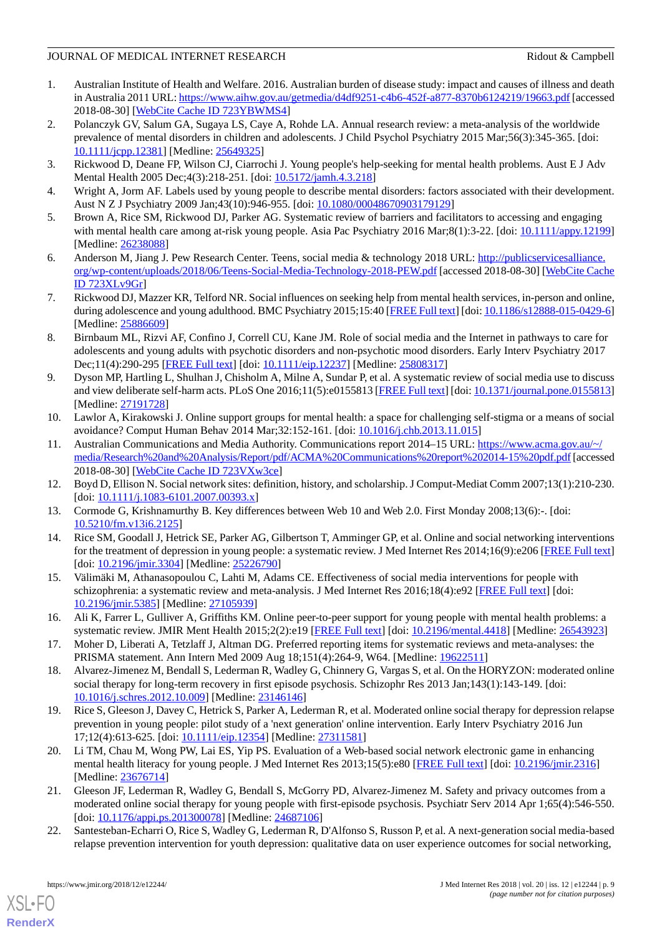- <span id="page-8-0"></span>1. Australian Institute of Health and Welfare. 2016. Australian burden of disease study: impact and causes of illness and death in Australia 2011 URL:<https://www.aihw.gov.au/getmedia/d4df9251-c4b6-452f-a877-8370b6124219/19663.pdf> [accessed 2018-08-30] [\[WebCite Cache ID 723YBWMS4\]](http://www.webcitation.org/

                                            723YBWMS4)
- <span id="page-8-1"></span>2. Polanczyk GV, Salum GA, Sugaya LS, Caye A, Rohde LA. Annual research review: a meta-analysis of the worldwide prevalence of mental disorders in children and adolescents. J Child Psychol Psychiatry 2015 Mar;56(3):345-365. [doi: [10.1111/jcpp.12381](http://dx.doi.org/10.1111/jcpp.12381)] [Medline: [25649325](http://www.ncbi.nlm.nih.gov/entrez/query.fcgi?cmd=Retrieve&db=PubMed&list_uids=25649325&dopt=Abstract)]
- <span id="page-8-3"></span><span id="page-8-2"></span>3. Rickwood D, Deane FP, Wilson CJ, Ciarrochi J. Young people's help-seeking for mental health problems. Aust E J Adv Mental Health 2005 Dec;4(3):218-251. [doi: [10.5172/jamh.4.3.218\]](http://dx.doi.org/10.5172/jamh.4.3.218)
- <span id="page-8-4"></span>4. Wright A, Jorm AF. Labels used by young people to describe mental disorders: factors associated with their development. Aust N Z J Psychiatry 2009 Jan;43(10):946-955. [doi: [10.1080/00048670903179129](http://dx.doi.org/10.1080/00048670903179129)]
- <span id="page-8-5"></span>5. Brown A, Rice SM, Rickwood DJ, Parker AG. Systematic review of barriers and facilitators to accessing and engaging with mental health care among at-risk young people. Asia Pac Psychiatry 2016 Mar;8(1):3-22. [doi: [10.1111/appy.12199\]](http://dx.doi.org/10.1111/appy.12199) [Medline: [26238088](http://www.ncbi.nlm.nih.gov/entrez/query.fcgi?cmd=Retrieve&db=PubMed&list_uids=26238088&dopt=Abstract)]
- <span id="page-8-6"></span>6. Anderson M, Jiang J. Pew Research Center. Teens, social media & technology 2018 URL: [http://publicservicesalliance.](http://publicservicesalliance.org/wp-content/uploads/2018/06/Teens-Social-Media-Technology-2018-PEW.pdf) [org/wp-content/uploads/2018/06/Teens-Social-Media-Technology-2018-PEW.pdf](http://publicservicesalliance.org/wp-content/uploads/2018/06/Teens-Social-Media-Technology-2018-PEW.pdf) [accessed 2018-08-30] [[WebCite Cache](http://www.webcitation.org/

                                            723XLv9Gr) [ID 723XLv9Gr](http://www.webcitation.org/

                                            723XLv9Gr)]
- <span id="page-8-7"></span>7. Rickwood DJ, Mazzer KR, Telford NR. Social influences on seeking help from mental health services, in-person and online, during adolescence and young adulthood. BMC Psychiatry 2015;15:40 [[FREE Full text\]](http://bmcpsychiatry.biomedcentral.com/articles/10.1186/s12888-015-0429-6) [doi: [10.1186/s12888-015-0429-6\]](http://dx.doi.org/10.1186/s12888-015-0429-6) [Medline: [25886609](http://www.ncbi.nlm.nih.gov/entrez/query.fcgi?cmd=Retrieve&db=PubMed&list_uids=25886609&dopt=Abstract)]
- <span id="page-8-8"></span>8. Birnbaum ML, Rizvi AF, Confino J, Correll CU, Kane JM. Role of social media and the Internet in pathways to care for adolescents and young adults with psychotic disorders and non-psychotic mood disorders. Early Interv Psychiatry 2017 Dec;11(4):290-295 [\[FREE Full text](http://europepmc.org/abstract/MED/25808317)] [doi: [10.1111/eip.12237\]](http://dx.doi.org/10.1111/eip.12237) [Medline: [25808317](http://www.ncbi.nlm.nih.gov/entrez/query.fcgi?cmd=Retrieve&db=PubMed&list_uids=25808317&dopt=Abstract)]
- <span id="page-8-9"></span>9. Dyson MP, Hartling L, Shulhan J, Chisholm A, Milne A, Sundar P, et al. A systematic review of social media use to discuss and view deliberate self-harm acts. PLoS One 2016;11(5):e0155813 [[FREE Full text](http://dx.plos.org/10.1371/journal.pone.0155813)] [doi: [10.1371/journal.pone.0155813](http://dx.doi.org/10.1371/journal.pone.0155813)] [Medline: [27191728](http://www.ncbi.nlm.nih.gov/entrez/query.fcgi?cmd=Retrieve&db=PubMed&list_uids=27191728&dopt=Abstract)]
- <span id="page-8-10"></span>10. Lawlor A, Kirakowski J. Online support groups for mental health: a space for challenging self-stigma or a means of social avoidance? Comput Human Behav 2014 Mar;32:152-161. [doi: [10.1016/j.chb.2013.11.015\]](http://dx.doi.org/10.1016/j.chb.2013.11.015)
- <span id="page-8-12"></span><span id="page-8-11"></span>11. Australian Communications and Media Authority. Communications report 2014–15 URL: [https://www.acma.gov.au/~/](https://www.acma.gov.au/~/media/Research%20and%20Analysis/Report/pdf/ACMA%20Communications%20report%202014-15%20pdf.pdf) [media/Research%20and%20Analysis/Report/pdf/ACMA%20Communications%20report%202014-15%20pdf.pdf](https://www.acma.gov.au/~/media/Research%20and%20Analysis/Report/pdf/ACMA%20Communications%20report%202014-15%20pdf.pdf) [accessed 2018-08-30] [\[WebCite Cache ID 723VXw3ce\]](http://www.webcitation.org/

                                            723VXw3ce)
- <span id="page-8-13"></span>12. Boyd D, Ellison N. Social network sites: definition, history, and scholarship. J Comput-Mediat Comm 2007;13(1):210-230.  $[doi: 10.1111/j.1083-6101.2007.00393.x]$  $[doi: 10.1111/j.1083-6101.2007.00393.x]$  $[doi: 10.1111/j.1083-6101.2007.00393.x]$
- <span id="page-8-14"></span>13. Cormode G, Krishnamurthy B. Key differences between Web 10 and Web 2.0. First Monday 2008;13(6):-. [doi: [10.5210/fm.v13i6.2125\]](http://dx.doi.org/10.5210/fm.v13i6.2125)
- <span id="page-8-15"></span>14. Rice SM, Goodall J, Hetrick SE, Parker AG, Gilbertson T, Amminger GP, et al. Online and social networking interventions for the treatment of depression in young people: a systematic review. J Med Internet Res 2014;16(9):e206 [[FREE Full text](http://www.jmir.org/2014/9/e206/)] [doi: [10.2196/jmir.3304\]](http://dx.doi.org/10.2196/jmir.3304) [Medline: [25226790\]](http://www.ncbi.nlm.nih.gov/entrez/query.fcgi?cmd=Retrieve&db=PubMed&list_uids=25226790&dopt=Abstract)
- <span id="page-8-16"></span>15. Välimäki M, Athanasopoulou C, Lahti M, Adams CE. Effectiveness of social media interventions for people with schizophrenia: a systematic review and meta-analysis. J Med Internet Res 2016;18(4):e92 [[FREE Full text](http://www.jmir.org/2016/4/e92/)] [doi: [10.2196/jmir.5385](http://dx.doi.org/10.2196/jmir.5385)] [Medline: [27105939](http://www.ncbi.nlm.nih.gov/entrez/query.fcgi?cmd=Retrieve&db=PubMed&list_uids=27105939&dopt=Abstract)]
- <span id="page-8-17"></span>16. Ali K, Farrer L, Gulliver A, Griffiths KM. Online peer-to-peer support for young people with mental health problems: a systematic review. JMIR Ment Health 2015;2(2):e19 [[FREE Full text](http://mental.jmir.org/2015/2/e19/)] [doi: [10.2196/mental.4418\]](http://dx.doi.org/10.2196/mental.4418) [Medline: [26543923](http://www.ncbi.nlm.nih.gov/entrez/query.fcgi?cmd=Retrieve&db=PubMed&list_uids=26543923&dopt=Abstract)]
- <span id="page-8-20"></span>17. Moher D, Liberati A, Tetzlaff J, Altman DG. Preferred reporting items for systematic reviews and meta-analyses: the PRISMA statement. Ann Intern Med 2009 Aug 18;151(4):264-9, W64. [Medline: [19622511\]](http://www.ncbi.nlm.nih.gov/entrez/query.fcgi?cmd=Retrieve&db=PubMed&list_uids=19622511&dopt=Abstract)
- <span id="page-8-18"></span>18. Alvarez-Jimenez M, Bendall S, Lederman R, Wadley G, Chinnery G, Vargas S, et al. On the HORYZON: moderated online social therapy for long-term recovery in first episode psychosis. Schizophr Res 2013 Jan;143(1):143-149. [doi: [10.1016/j.schres.2012.10.009\]](http://dx.doi.org/10.1016/j.schres.2012.10.009) [Medline: [23146146](http://www.ncbi.nlm.nih.gov/entrez/query.fcgi?cmd=Retrieve&db=PubMed&list_uids=23146146&dopt=Abstract)]
- <span id="page-8-19"></span>19. Rice S, Gleeson J, Davey C, Hetrick S, Parker A, Lederman R, et al. Moderated online social therapy for depression relapse prevention in young people: pilot study of a 'next generation' online intervention. Early Interv Psychiatry 2016 Jun 17;12(4):613-625. [doi: [10.1111/eip.12354](http://dx.doi.org/10.1111/eip.12354)] [Medline: [27311581](http://www.ncbi.nlm.nih.gov/entrez/query.fcgi?cmd=Retrieve&db=PubMed&list_uids=27311581&dopt=Abstract)]
- <span id="page-8-21"></span>20. Li TM, Chau M, Wong PW, Lai ES, Yip PS. Evaluation of a Web-based social network electronic game in enhancing mental health literacy for young people. J Med Internet Res 2013;15(5):e80 [[FREE Full text](http://www.jmir.org/2013/5/e80/)] [doi: [10.2196/jmir.2316](http://dx.doi.org/10.2196/jmir.2316)] [Medline: [23676714](http://www.ncbi.nlm.nih.gov/entrez/query.fcgi?cmd=Retrieve&db=PubMed&list_uids=23676714&dopt=Abstract)]
- 21. Gleeson JF, Lederman R, Wadley G, Bendall S, McGorry PD, Alvarez-Jimenez M. Safety and privacy outcomes from a moderated online social therapy for young people with first-episode psychosis. Psychiatr Serv 2014 Apr 1;65(4):546-550. [doi: [10.1176/appi.ps.201300078](http://dx.doi.org/10.1176/appi.ps.201300078)] [Medline: [24687106](http://www.ncbi.nlm.nih.gov/entrez/query.fcgi?cmd=Retrieve&db=PubMed&list_uids=24687106&dopt=Abstract)]
- 22. Santesteban-Echarri O, Rice S, Wadley G, Lederman R, D'Alfonso S, Russon P, et al. A next-generation social media-based relapse prevention intervention for youth depression: qualitative data on user experience outcomes for social networking,

[XSL](http://www.w3.org/Style/XSL)•FO **[RenderX](http://www.renderx.com/)**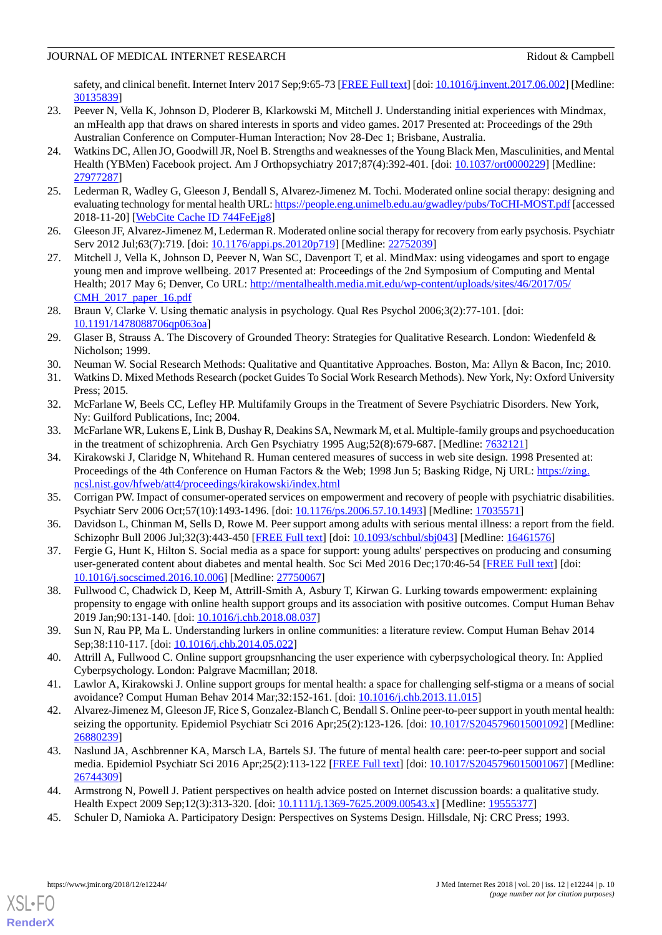safety, and clinical benefit. Internet Interv 2017 Sep;9:65-73 [\[FREE Full text](https://linkinghub.elsevier.com/retrieve/pii/S2214-7829(17)30019-2)] [doi: [10.1016/j.invent.2017.06.002](http://dx.doi.org/10.1016/j.invent.2017.06.002)] [Medline: [30135839](http://www.ncbi.nlm.nih.gov/entrez/query.fcgi?cmd=Retrieve&db=PubMed&list_uids=30135839&dopt=Abstract)]

- <span id="page-9-3"></span>23. Peever N, Vella K, Johnson D, Ploderer B, Klarkowski M, Mitchell J. Understanding initial experiences with Mindmax, an mHealth app that draws on shared interests in sports and video games. 2017 Presented at: Proceedings of the 29th Australian Conference on Computer-Human Interaction; Nov 28-Dec 1; Brisbane, Australia.
- <span id="page-9-0"></span>24. Watkins DC, Allen JO, Goodwill JR, Noel B. Strengths and weaknesses of the Young Black Men, Masculinities, and Mental Health (YBMen) Facebook project. Am J Orthopsychiatry 2017;87(4):392-401. [doi: [10.1037/ort0000229\]](http://dx.doi.org/10.1037/ort0000229) [Medline: [27977287](http://www.ncbi.nlm.nih.gov/entrez/query.fcgi?cmd=Retrieve&db=PubMed&list_uids=27977287&dopt=Abstract)]
- <span id="page-9-2"></span><span id="page-9-1"></span>25. Lederman R, Wadley G, Gleeson J, Bendall S, Alvarez-Jimenez M. Tochi. Moderated online social therapy: designing and evaluating technology for mental health URL:<https://people.eng.unimelb.edu.au/gwadley/pubs/ToCHI-MOST.pdf> [accessed] 2018-11-20] [\[WebCite Cache ID 744FeEjg8](http://www.webcitation.org/

                                            744FeEjg8)]
- <span id="page-9-4"></span>26. Gleeson JF, Alvarez-Jimenez M, Lederman R. Moderated online social therapy for recovery from early psychosis. Psychiatr Serv 2012 Jul;63(7):719. [doi: [10.1176/appi.ps.20120p719\]](http://dx.doi.org/10.1176/appi.ps.20120p719) [Medline: [22752039](http://www.ncbi.nlm.nih.gov/entrez/query.fcgi?cmd=Retrieve&db=PubMed&list_uids=22752039&dopt=Abstract)]
- <span id="page-9-5"></span>27. Mitchell J, Vella K, Johnson D, Peever N, Wan SC, Davenport T, et al. MindMax: using videogames and sport to engage young men and improve wellbeing. 2017 Presented at: Proceedings of the 2nd Symposium of Computing and Mental Health; 2017 May 6; Denver, Co URL: [http://mentalhealth.media.mit.edu/wp-content/uploads/sites/46/2017/05/](http://mentalhealth.media.mit.edu/wp-content/uploads/sites/46/2017/05/CMH_2017_paper_16.pdf) [CMH\\_2017\\_paper\\_16.pdf](http://mentalhealth.media.mit.edu/wp-content/uploads/sites/46/2017/05/CMH_2017_paper_16.pdf)
- <span id="page-9-6"></span>28. Braun V, Clarke V. Using thematic analysis in psychology. Qual Res Psychol 2006;3(2):77-101. [doi: [10.1191/1478088706qp063oa](http://dx.doi.org/10.1191/1478088706qp063oa)]
- <span id="page-9-8"></span><span id="page-9-7"></span>29. Glaser B, Strauss A. The Discovery of Grounded Theory: Strategies for Qualitative Research. London: Wiedenfeld & Nicholson; 1999.
- <span id="page-9-9"></span>30. Neuman W. Social Research Methods: Qualitative and Quantitative Approaches. Boston, Ma: Allyn & Bacon, Inc; 2010.
- <span id="page-9-10"></span>31. Watkins D. Mixed Methods Research (pocket Guides To Social Work Research Methods). New York, Ny: Oxford University Press; 2015.
- <span id="page-9-11"></span>32. McFarlane W, Beels CC, Lefley HP. Multifamily Groups in the Treatment of Severe Psychiatric Disorders. New York, Ny: Guilford Publications, Inc; 2004.
- 33. McFarlane WR, Lukens E, Link B, Dushay R, Deakins SA, Newmark M, et al. Multiple-family groups and psychoeducation in the treatment of schizophrenia. Arch Gen Psychiatry 1995 Aug;52(8):679-687. [Medline: [7632121\]](http://www.ncbi.nlm.nih.gov/entrez/query.fcgi?cmd=Retrieve&db=PubMed&list_uids=7632121&dopt=Abstract)
- <span id="page-9-13"></span><span id="page-9-12"></span>34. Kirakowski J, Claridge N, Whitehand R. Human centered measures of success in web site design. 1998 Presented at: Proceedings of the 4th Conference on Human Factors & the Web; 1998 Jun 5; Basking Ridge, Nj URL: [https://zing.](https://zing.ncsl.nist.gov/hfweb/att4/proceedings/kirakowski/index.html) [ncsl.nist.gov/hfweb/att4/proceedings/kirakowski/index.html](https://zing.ncsl.nist.gov/hfweb/att4/proceedings/kirakowski/index.html)
- <span id="page-9-14"></span>35. Corrigan PW. Impact of consumer-operated services on empowerment and recovery of people with psychiatric disabilities. Psychiatr Serv 2006 Oct;57(10):1493-1496. [doi: [10.1176/ps.2006.57.10.1493](http://dx.doi.org/10.1176/ps.2006.57.10.1493)] [Medline: [17035571\]](http://www.ncbi.nlm.nih.gov/entrez/query.fcgi?cmd=Retrieve&db=PubMed&list_uids=17035571&dopt=Abstract)
- <span id="page-9-15"></span>36. Davidson L, Chinman M, Sells D, Rowe M. Peer support among adults with serious mental illness: a report from the field. Schizophr Bull 2006 Jul;32(3):443-450 [[FREE Full text](http://schizophreniabulletin.oxfordjournals.org/cgi/pmidlookup?view=long&pmid=16461576)] [doi: [10.1093/schbul/sbj043](http://dx.doi.org/10.1093/schbul/sbj043)] [Medline: [16461576\]](http://www.ncbi.nlm.nih.gov/entrez/query.fcgi?cmd=Retrieve&db=PubMed&list_uids=16461576&dopt=Abstract)
- <span id="page-9-16"></span>37. Fergie G, Hunt K, Hilton S. Social media as a space for support: young adults' perspectives on producing and consuming user-generated content about diabetes and mental health. Soc Sci Med 2016 Dec;170:46-54 [[FREE Full text](https://linkinghub.elsevier.com/retrieve/pii/S0277-9536(16)30565-2)] [doi: [10.1016/j.socscimed.2016.10.006](http://dx.doi.org/10.1016/j.socscimed.2016.10.006)] [Medline: [27750067](http://www.ncbi.nlm.nih.gov/entrez/query.fcgi?cmd=Retrieve&db=PubMed&list_uids=27750067&dopt=Abstract)]
- <span id="page-9-17"></span>38. Fullwood C, Chadwick D, Keep M, Attrill-Smith A, Asbury T, Kirwan G. Lurking towards empowerment: explaining propensity to engage with online health support groups and its association with positive outcomes. Comput Human Behav 2019 Jan;90:131-140. [doi: [10.1016/j.chb.2018.08.037\]](http://dx.doi.org/10.1016/j.chb.2018.08.037)
- <span id="page-9-19"></span><span id="page-9-18"></span>39. Sun N, Rau PP, Ma L. Understanding lurkers in online communities: a literature review. Comput Human Behav 2014 Sep;38:110-117. [doi: [10.1016/j.chb.2014.05.022\]](http://dx.doi.org/10.1016/j.chb.2014.05.022)
- 40. Attrill A, Fullwood C. Online support groupsnhancing the user experience with cyberpsychological theory. In: Applied Cyberpsychology. London: Palgrave Macmillan; 2018.
- <span id="page-9-20"></span>41. Lawlor A, Kirakowski J. Online support groups for mental health: a space for challenging self-stigma or a means of social avoidance? Comput Human Behav 2014 Mar;32:152-161. [doi: [10.1016/j.chb.2013.11.015\]](http://dx.doi.org/10.1016/j.chb.2013.11.015)
- <span id="page-9-21"></span>42. Alvarez-Jimenez M, Gleeson JF, Rice S, Gonzalez-Blanch C, Bendall S. Online peer-to-peer support in youth mental health: seizing the opportunity. Epidemiol Psychiatr Sci 2016 Apr;25(2):123-126. [doi: [10.1017/S2045796015001092\]](http://dx.doi.org/10.1017/S2045796015001092) [Medline: [26880239](http://www.ncbi.nlm.nih.gov/entrez/query.fcgi?cmd=Retrieve&db=PubMed&list_uids=26880239&dopt=Abstract)]
- <span id="page-9-22"></span>43. Naslund JA, Aschbrenner KA, Marsch LA, Bartels SJ. The future of mental health care: peer-to-peer support and social media. Epidemiol Psychiatr Sci 2016 Apr;25(2):113-122 [\[FREE Full text\]](http://europepmc.org/abstract/MED/26744309) [doi: [10.1017/S2045796015001067\]](http://dx.doi.org/10.1017/S2045796015001067) [Medline: [26744309](http://www.ncbi.nlm.nih.gov/entrez/query.fcgi?cmd=Retrieve&db=PubMed&list_uids=26744309&dopt=Abstract)]
- 44. Armstrong N, Powell J. Patient perspectives on health advice posted on Internet discussion boards: a qualitative study. Health Expect 2009 Sep;12(3):313-320. [doi: [10.1111/j.1369-7625.2009.00543.x\]](http://dx.doi.org/10.1111/j.1369-7625.2009.00543.x) [Medline: [19555377\]](http://www.ncbi.nlm.nih.gov/entrez/query.fcgi?cmd=Retrieve&db=PubMed&list_uids=19555377&dopt=Abstract)
- 45. Schuler D, Namioka A. Participatory Design: Perspectives on Systems Design. Hillsdale, Nj: CRC Press; 1993.

**[RenderX](http://www.renderx.com/)**